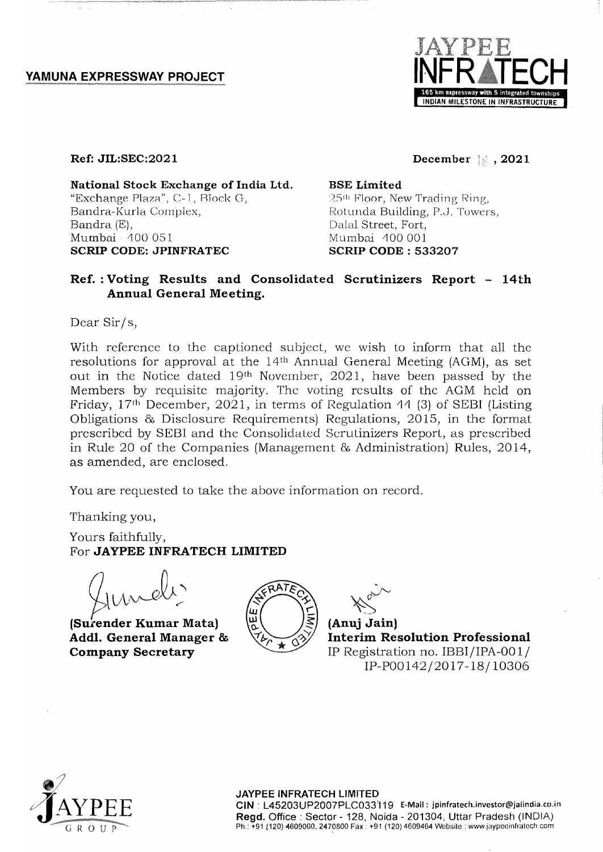YAMUNA EXPRESSWAY PROJECT



**Ref: JIL:SEC:2021** 

**National Stock Exchange of India Ltd.**  "Exchange Plaza", C- 1, Rlock G, Bandra-Kurla Complex, Bandra (E), Mumbai - 400 051 **SCRIP CODE: JPINFRATEC** 

**December 3. 2021** 

**BSE Limited**  25<sup>th</sup> Floor, New Trading Ring, Rotunda Building, P.J. Towers, Dalal Street, Fort, Mumbai 100001 **SCRIP CODE: 533207** 

# **Ref. : Voting Results and Consolidated Scrutinizers Report - 14th Annual General Meeting.**

Dear Sir/s,

With reference to the captioned subject, we wish to inform that all the resolutions for approval at the 14<sup>th</sup> Annual General Meeting (AGM), as set out in the Notice dated 19th November, 2021, have been passed by the Members by requisite majority. The voting results of the AGM held on Friday, 17th December, 2021, in terms of Regulation 11 (3) of SEBI (Listing Obligations & Disclosure Requirements) Regulations, 2015, in the format prcscribed by SEBI and the Consolidaled Scrulinizers Reporl, as prescribed in Rule 20 of the Companies (Management & Administration) Rules, 2014, as amended, are enclosed.

You are requested to take the above information on record.

Thanking you,

Yours faithfully, For JAYPEE INFRATECH LIMITED

 $\lambda$ laner

**(Surender Kumar Mata) Addl. General Manager & Company Secretary** 



 $\sim$ <sup>~</sup>**(Anuj Jain)** 

**Interim Resolution Professional**  IP Registration no. IBBI/IPA-OOI/ IP-POOI42/2017-18/10306



## **JAYPEE INFRATECH LIMITED**

**CIN** : L45203UP2007PLC033'119 E-Mail: jpinfratech.investor@jalindia.co.in **Regd.** Office: Sector - 128, Noida - 201304, Uttar Pradesh (INDIA) Ph.: +91 (120) 4609000, 2470800 Fax: +91 (120) 4609464 Website: www.jaypeeinfratech.com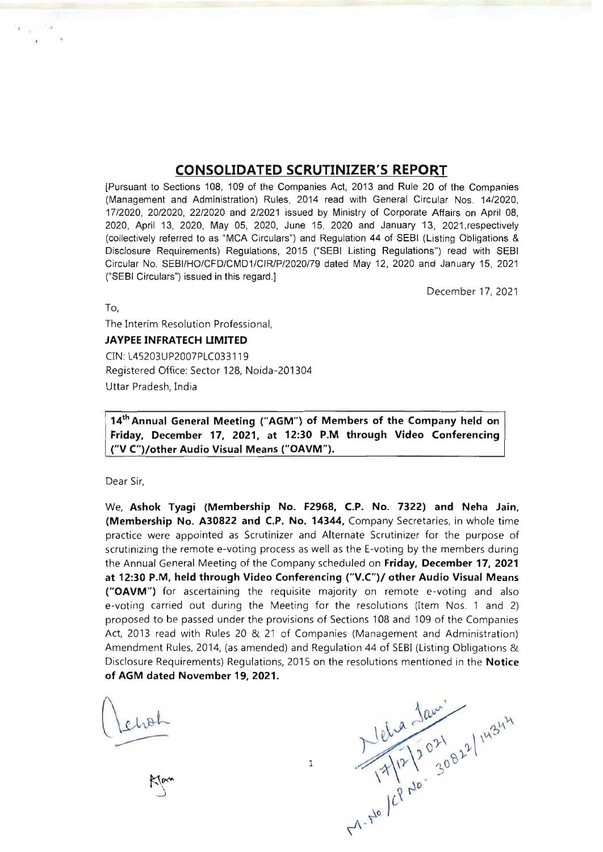# **CONSOLIDATED SCRUTINIZER'S REPORT**

[Pursuant to Sections 108, 109 of the Companies Act, 2013 and Rule 20 of the Companies (Management and Administration) Rules, 2014 read with General Circular Nos. 14/2020, 17/2020, 20/2020, 22/2020 and 212021 issued by Ministry of Corporate Affairs on April 08, 2020, April 13, 2020, May 05, 2020, June 15, 2020 and January 13, 2021 respectively (collectively referred to as "MCA Circulars") and Regulation 44 of SEBI (Listing Obligations & Disclosure Requirements) Regulations, 2015 ("SEBI Listing Regulations") read with SEBI Circular No. SEBI/HO/CFD/CMD1/CIR/P/2020/79 dated May 12, 2020 and January 15, 2021 ("SEBI Circulars") issued in this regard.]

December 17, 2021

To,

The Interim Resolution Professional,

# **JAYPEE INFRATECH UMITED**

CIN: L45203UP2007PLC033119 Registered Office: Sector 128, Noida-201304 Uttar Pradesh, India

**14th Annual General Meeting ("AGM") of Members of the Company held on Friday, December 17, 2021, at 12:30 P.M through Video Conferencing ("V C")/other Audio Visual Means ("OAVM").** 

Dear Sir,

We, **Ashok Tyagi (Membership No. F2968, c.P. No. 7322) and Neha Jain, (Membership No. A30822 and C.P. No. 14344,** Company Secretaries, in whole time practice were appointed as Scrutinizer and Alternate Scrutinizer for the purpose of scrutinizing the remote e-voting process as well as the E-voting by the members during the Annual General Meeting of the Company scheduled on **Friday, December 17, 2021 at 12:30 P.M, held through Video Conferencing** *("V.C")I* **other Audio Visual Means ("OAVM")** for ascertaining the requisite majority on remote e-voting and also e-voting carried out during the Meeting for the resolutions (Item Nos. 1 and 2) proposed to be passed under the provisions of Sections 108 and 109 of the Companies Act, 2013 read with Rules 20 & 21 of Companies (Management and Administration) Amendment Rules, 2014, (as amended) and Regulation 44 of SEBI (Listing Obligations & **of AGM dated November 19, 2021.** 

Disclosure Requirements) Regulations, 2015 on the resolutions mentioned in the **Notice** of AGM dated November 19, 2021.<br>
Let us he had the *Notice* and the *Notice* of AGM dated November 19, 2021.<br>  $\frac{\sqrt{g(a)}}{1 + \sqrt{[2(12)^2 +$ 

1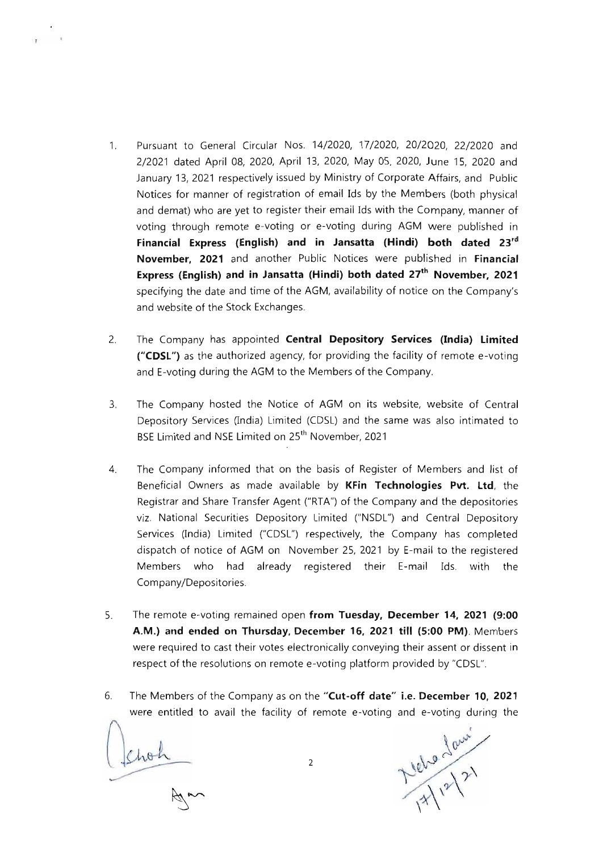- 1. Pursuant to General Circular Nos. 14/2020, 17/2020, 20/2020, 22/2020 and 2/2021 dated April 08, 2020, April 13, 2020, May OS, 2020, June 15, 2020 and January 13, 2021 respectively issued by Ministry of Corporate Affairs, and Public Notices for manner of registration of email Ids by the Members (both physical and demat) who are yet to register their email Ids with the Company, manner of voting through remote e-voting or e-voting during AGM were published in **Financial Express (English) and in Jansatta (Hindi) both dated 23rd November, 2021** and another Public Notices were published in **Financial Express (English) and in Jansatta (Hindi) both dated 27th November, 2021**  specifying the date and time of the AGM, availability of notice on the Company's and website of the Stock Exchanges.
- 2. The Company has appointed **Central Depository Services (India) Limited ("CDSL")** as the authorized agency, for providing the facility of remote e-voting and E-voting during the AGM to the Members of the Company.
- 3. The Company hosted the Notice of AGM on its website, website of Central Depository Services (India) Limited (CDSL) and the same was also intimated to BSE Limited and NSE Limited on 25<sup>th</sup> November, 2021
- 4. The Company informed that on the basis of Register of Members and list of Beneficial Owners as made available by **KFin Technologies Pvt. Ltd,** the Registrar and Share Transfer Agent ("RTA") of the Company and the depositories viz. National Securities Depository Limited ("NSDL") and Central Depository Services (India) Limited ("CDSL") respectively, the Company has completed dispatch of notice of AGM on November 25, 2021 by E-mail to the registered Members who had already registered their E-mail Ids. with the Company/Depositories.
- S. The remote e-voting remained open **from Tuesday, December 14, 2021 (9:00 A.M.) and ended on Thursday, December 16, 2021 till (5:00 PM).** Members were required to cast their votes electronically conveying their assent or dissent in respect of the resolutions on remote e-voting platform provided by "CDSL".
- 6. The Members of the Company as on the **"Cut-off date" i.e. December 10, 2021**  were entitled to avail the facility of remote e-voting and e-voting during the

were entitled to avail the lacitity of  $r_0$ 

 $\mathscr{A}$   $\sim$ 

Nehre Jane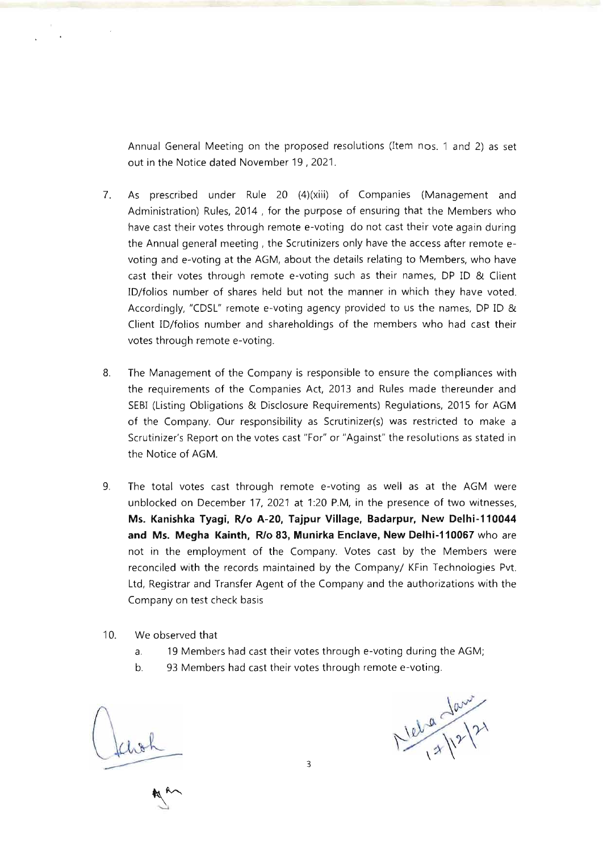Annual General Meeting on the proposed resolutions (Item nos. 1 and 2) as set out in the Notice dated November 19 , 2021.

- 7. As prescribed under Rule 20 (4)(xiii) of Companies (Management and Administration) Rules, 2014 , for the purpose of ensuring that the Members who have cast their votes through remote e-voting do not cast their vote again during the Annual general meeting, the Scrutinizers only have the access after remote evoting and e-voting at the AGM, about the details relating to Members, who have cast their votes through remote e-voting such as their names, DP ID & Client ID/folios number of shares held but not the manner in which they have voted. Accordingly, "CDSL" remote e-voting agency provided to us the names, DP ID & Client ID/folios number and shareholdings of the members who had cast their votes through remote e-voting.
- 8. The Management of the Company is responsible to ensure the compliances with the requirements of the Companies Act, 2013 and Rules made thereunder and SEBI (Listing Obligations & Disclosure Requirements) Regulations, 2015 for AGM of the Company. Our responsibility as Scrutinizer(s) was restricted to make a Scrutinizer's Report on the votes cast "For" or "Against" the resolutions as stated in the Notice of AGM.
- 9. The total *votes* cast through remote e-voting as well as at the AGM were unblocked on December 17, 2021 at 1:20 P.M, in the presence of two witnesses, **Ms. Kanishka Tyagi, RIo A·20, Tajpur Village, 8adarpur, New Delhi·110044 and Ms. Megha Kainth, RIo 83, Munirka Enclave, New Delhi-110067** who are not in the employment of the Company. Votes cast by the Members were reconciled with the records maintained by the Company/ KFin Technologies Pvt. Ltd, Registrar and Transfer Agent of the Company and the authorizations with the Company on test check basis
- 10. We observed that
	- a. 19 Members had cast their *votes* through e-voting during the AGM;
	- b. 93 Members had cast their votes through remote e-voting.

 $N$  let a law

3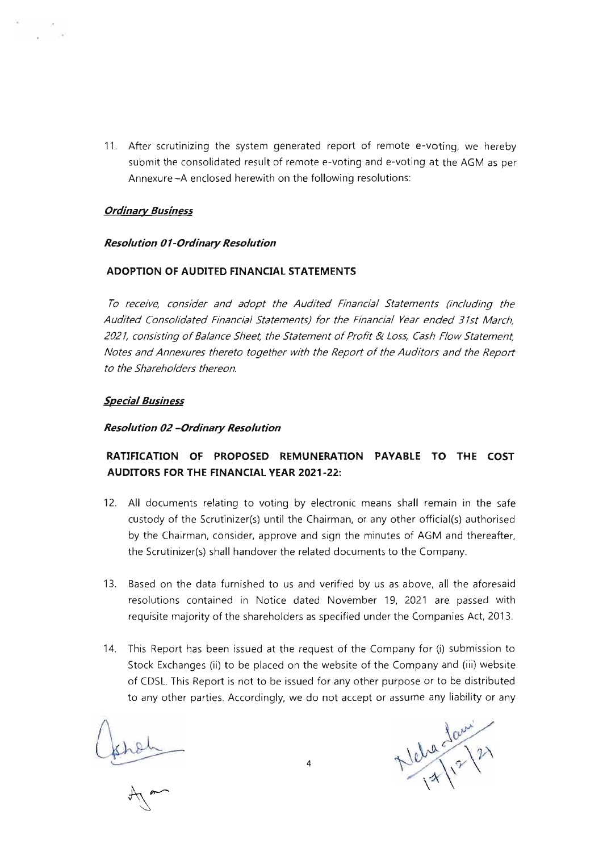11 . After scrutinizing the system generated report of remote e-voting, we hereby submit the consolidated result of remote e-voting and e-voting at the AGM as per Annexure -A enclosed herewith on the following resolutions:

# *Ordinary Business*

# *Resolution 0 I-Ordinary Resolution*

# **ADOPTION OF AUDITED FINANCIAL STATEMENTS**

*To receive, consider and adopt the Audited Financial Statements (including the Audited Consolidated Financial Statements) for the Financial Year ended 31st March, 2021, consisting of Balance Sheet, the Statement of Profit* & *Loss, Cash Flow Statement, Notes and Annexures thereto together with the Report of the Auditors and the Report to the Shareholders thereon.* 

# *Special Business*

## *Resolution 02 -Ordinary Resolution*

# **RATIFICATION OF PROPOSED REMUNERATION PAYABLE TO THE COST AUDITORS FOR THE FINANCIAL YEAR 2021-22:**

- 12. **All** documents relating to voting by electronic means shall remain in the safe custody of the Scrutinizer(s) until the Chairman, or any other official(s) authorised by the Chairman, consider, approve and sign the minutes of AGM and thereafter, the Scrutinizer(s) shall handover the related documents to the Company.
- 13. Based on the data furnished to us and verified by us as above, **all** the aforesaid resolutions contained in Notice dated November 19, 2021 are passed with requisite majority of the shareholders as specified under the Companies Act, 2013.
- 14. This Report has been issued at the request of the Company for (i) submission to Stock Exchanges (ii) to be placed on the website of the Company and (iii) website of CDSL. This Report is not to be issued for any other purpose or to be distributed to any other parties. Accordingly, we do not accept or assume any liability or any

khoh

Nela Jani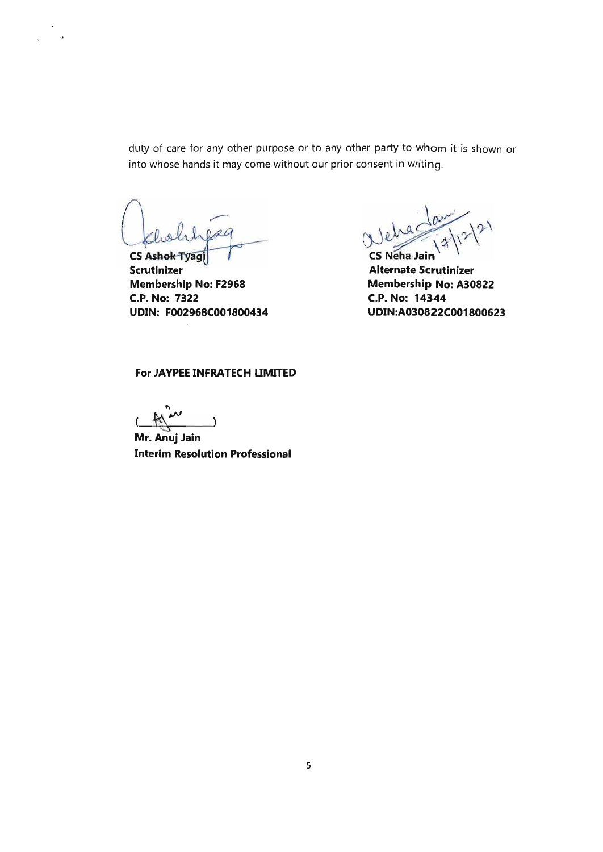duty of care for any other purpose or to any other party to whom it is shown or into whose hands it may come without our prior consent in writing.

 $0AC$ 

**CS Ashok Tyagl Scrutinizer Membership No: F2968 C.P. No: 7322 UDIN: F002968C001800434** 

 $e^{\log \frac{1}{2} |x|^{2}}$ 

**Alternate Scrutinizer Membership No: A30822 C.P. No: 14344 UDIN:A030822C001800623** 

# **For JAYPEE INFRATECH UMITED**

 $N^{\sim}$ "

**Mr. Anuj Jain Interim Resolution Professional**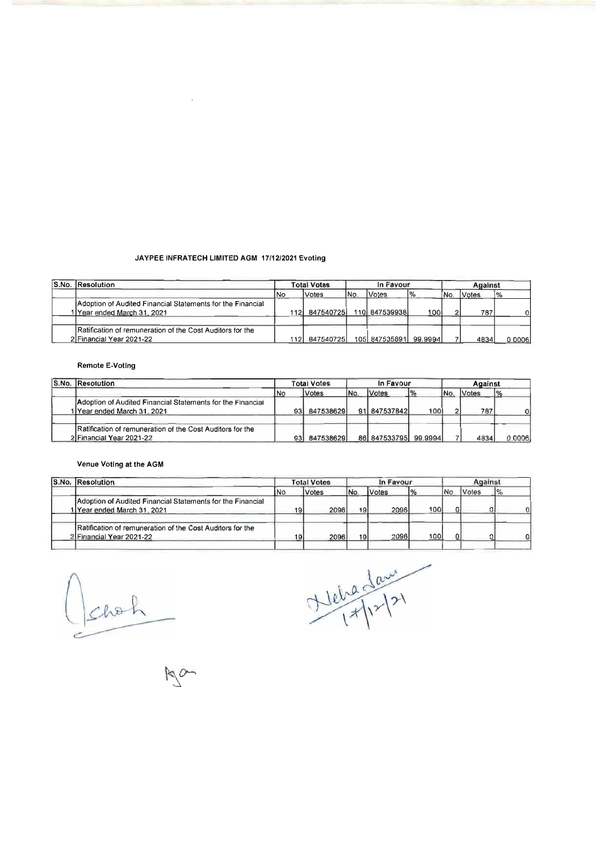### JAYPEE INFRATECH LIMITED AGM 1711212021 Evoting

| S.No. Resolution                                                                          |      | <b>Total Votes</b> |      | In Favour             |                | Against |        |                |  |
|-------------------------------------------------------------------------------------------|------|--------------------|------|-----------------------|----------------|---------|--------|----------------|--|
|                                                                                           | l No | Votes              | INo. | Votes                 | $\frac{10}{6}$ | ĪΝo.    | lVotes | $\frac{10}{6}$ |  |
| Adoption of Audited Financial Statements for the Financial<br>1 Year ended March 31, 2021 |      | 112 847540725      |      | 110 847539938         | 100            |         | 787    | o۱             |  |
| Ratification of remuneration of the Cost Auditors for the<br>2 Financial Year 2021-22     |      | 112 847540725      |      | 105 847535891 99.9994 |                |         | 4834   | 0 0006         |  |

#### Remote E-Votlng

| S.No. Resolution                                                                        |      | <b>Total Votes</b> |           | In Favour            |               | Against |       |        |  |
|-----------------------------------------------------------------------------------------|------|--------------------|-----------|----------------------|---------------|---------|-------|--------|--|
|                                                                                         | i No | Votes              | <b>No</b> | Votes                | $\frac{9}{6}$ | INo.    | Votes | 1%     |  |
| Adoption of Audited Financial Statements for the Financial<br>Year ended March 31, 2021 | 93   | 847538629          |           | 91 847537842         | 100           |         | 787   |        |  |
| Ratification of remuneration of the Cost Auditors for the<br>2 Financial Year 2021-22   | 931  | 847538629          |           | 86 847533795 99.9994 |               |         | 4834  | 0.0006 |  |

## Venue Voting at the AGM

| S.No. Resolution                                                                          |     | <b>Total Votes</b>  |            | In Favour |     | Against    |       |   |  |
|-------------------------------------------------------------------------------------------|-----|---------------------|------------|-----------|-----|------------|-------|---|--|
|                                                                                           | iNo | <i><b>Votes</b></i> | <b>INc</b> | Votes     | 1%  | <b>N</b> c | Votes |   |  |
| Adoption of Audited Financial Statements for the Financial<br>1 Year ended March 31, 2021 | 19  | 2096                | 19         | 2096      | 100 |            |       |   |  |
| Ratification of remuneration of the Cost Auditors for the<br>2 Financial Year 2021-22     | 19  | 2096                | 19         | 2096      | 100 |            |       | 0 |  |

Jacken<br>Man

Nebadaux<br>1/12/21

 $M_{\odot}$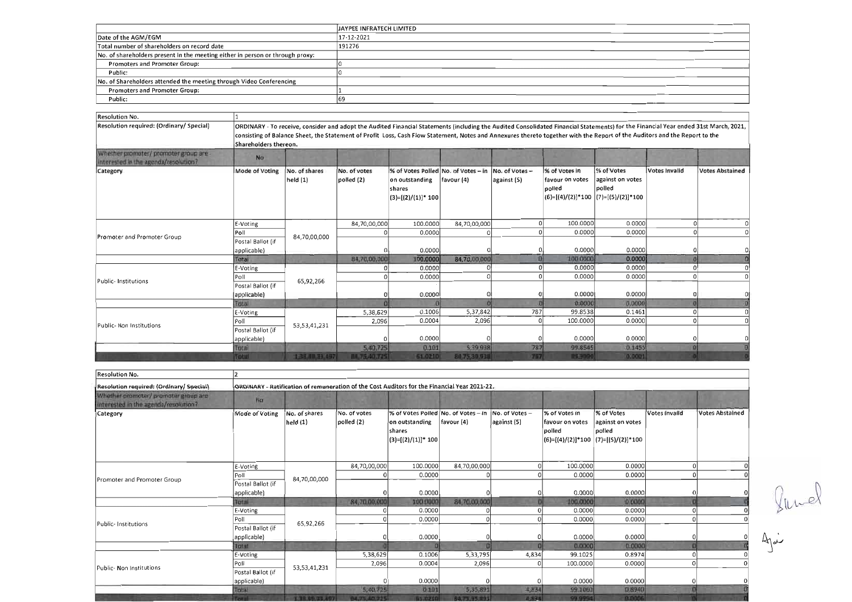|                                                                               | <b>JAYPEE INFRATECH LIMITED</b> |
|-------------------------------------------------------------------------------|---------------------------------|
| Date of the AGM/EGM                                                           | 17-12-2021                      |
| Total number of shareholders on record date                                   | 191276                          |
| No. of shareholders present in the meeting either in person or through proxy: |                                 |
| <b>Promoters and Promoter Group:</b>                                          |                                 |
| Public:                                                                       |                                 |
| No. of Shareholders attended the meeting through Video Conferencing           |                                 |
| <b>Promoters and Promoter Group:</b>                                          |                                 |
| Public:                                                                       | 69                              |

| Resolution No.                                                               |                       |                           |                                                                                                                                                                                                                                                                                                                                                                   |                                                                                                       |                  |             |                                            |                                                                                     |               |                        |
|------------------------------------------------------------------------------|-----------------------|---------------------------|-------------------------------------------------------------------------------------------------------------------------------------------------------------------------------------------------------------------------------------------------------------------------------------------------------------------------------------------------------------------|-------------------------------------------------------------------------------------------------------|------------------|-------------|--------------------------------------------|-------------------------------------------------------------------------------------|---------------|------------------------|
| <b>Resolution required: (Ordinary/ Special)</b>                              | Shareholders thereon. |                           | ORDINARY - To receive, consider and adopt the Audited Financial Statements (including the Audited Consolidated Financial Statements) for the Financial Year ended 31st March, 2021,<br>consisting of Balance Sheet, the Statement of Profit Loss, Cash Flow Statement, Notes and Annexures thereto together with the Report of the Auditors and the Report to the |                                                                                                       |                  |             |                                            |                                                                                     |               |                        |
| Whether promoter/ promoter group are<br>interested in the agenda/resolution? | No.                   |                           |                                                                                                                                                                                                                                                                                                                                                                   |                                                                                                       |                  |             |                                            |                                                                                     |               |                        |
| Category                                                                     | Mode of Voting        | No. of shares<br>held (1) | No. of votes<br>polled (2)                                                                                                                                                                                                                                                                                                                                        | % of Votes Polled No. of Votes - in No. of Votes -<br>on outstanding<br>shares<br>$(3)=[(2)/(1)]*100$ | $ $ favour $(4)$ | against (S) | % of Votes in<br>favour on votes<br>polled | % of Votes<br>against on votes<br>polled<br>$(6)=[(4)/(2)]*100$ $(7)=[(5)/(2)]*100$ | Votes Invalid | <b>Votes Abstained</b> |
|                                                                              | E-Voting              |                           | 84,70,00,000                                                                                                                                                                                                                                                                                                                                                      | 100.0000                                                                                              | 84,70,00,000     |             | 100.0000                                   | 0.0000                                                                              |               |                        |
| Promoter and Promoter Group                                                  | Poll                  | 84,70,00,000              |                                                                                                                                                                                                                                                                                                                                                                   | 0.0000                                                                                                |                  |             | 0.0000                                     | 0.0000                                                                              |               |                        |
|                                                                              | Postal Ballot (if     |                           |                                                                                                                                                                                                                                                                                                                                                                   |                                                                                                       |                  |             |                                            |                                                                                     |               |                        |
|                                                                              | applicable)           |                           |                                                                                                                                                                                                                                                                                                                                                                   | 0.0000                                                                                                |                  |             | 0.0000                                     | 0.0000                                                                              |               |                        |
|                                                                              | Total                 |                           | 84,70,00,000                                                                                                                                                                                                                                                                                                                                                      | 100.0000                                                                                              | 84,70,00,000     |             | 100.0000                                   | 0.0000                                                                              |               |                        |
|                                                                              | E-Voting              |                           |                                                                                                                                                                                                                                                                                                                                                                   | 0.0000                                                                                                |                  |             | 0.0000                                     | 0.0000                                                                              |               |                        |
| <b>Public-Institutions</b>                                                   | Poll                  | 65,92,266                 |                                                                                                                                                                                                                                                                                                                                                                   | 0.0000                                                                                                |                  |             | 0.0000                                     | 0.0000                                                                              |               |                        |
|                                                                              | Postal Ballot (if     |                           |                                                                                                                                                                                                                                                                                                                                                                   |                                                                                                       |                  |             |                                            |                                                                                     |               |                        |
|                                                                              | applicable)           |                           |                                                                                                                                                                                                                                                                                                                                                                   | 0.0000                                                                                                |                  |             | 0.0000                                     | 0.0000                                                                              |               |                        |
|                                                                              | Total                 |                           |                                                                                                                                                                                                                                                                                                                                                                   |                                                                                                       |                  |             | 0.0000                                     | 6.0000                                                                              |               |                        |
|                                                                              | <b>E-Voting</b>       |                           | 5,38,629                                                                                                                                                                                                                                                                                                                                                          | 0.1006                                                                                                | 5,37,842         | 787         | 99.8538                                    | 0.1461                                                                              |               |                        |
| Public- Non Institutions                                                     | $P_{\text{O}}$        | 53, 53, 41, 231           | 2,096                                                                                                                                                                                                                                                                                                                                                             | 0.0004                                                                                                | 2,096            |             | 100.0000                                   | 0.0000                                                                              |               |                        |
|                                                                              | Postal Ballot (if     |                           |                                                                                                                                                                                                                                                                                                                                                                   |                                                                                                       |                  |             |                                            |                                                                                     |               |                        |
|                                                                              | applicable)           |                           |                                                                                                                                                                                                                                                                                                                                                                   | 0.0000                                                                                                |                  |             | 0.0000                                     | 0.0000                                                                              |               |                        |
|                                                                              | Total                 |                           | 5,40.725                                                                                                                                                                                                                                                                                                                                                          | 0.101                                                                                                 | 5,39,938         | 787         | 99.8545                                    | 0.1455                                                                              |               |                        |
|                                                                              | <b>Totul</b>          | 138,00,33,497             | <b>MA75,40.725</b>                                                                                                                                                                                                                                                                                                                                                | 61.0210                                                                                               | 80,75,30,910     | 7177        | <b>RISDR</b>                               | (0.0001)                                                                            |               |                        |

| <b>Resolution No.</b>                                                        |                                  |                           |                                                                                              |                                                    |                                                                        |                    |                                            |                                                                                     |               |                        |
|------------------------------------------------------------------------------|----------------------------------|---------------------------|----------------------------------------------------------------------------------------------|----------------------------------------------------|------------------------------------------------------------------------|--------------------|--------------------------------------------|-------------------------------------------------------------------------------------|---------------|------------------------|
| Resolution required: (Ordinary/ Special)                                     |                                  |                           | ORDINARY - Ratification of remuneration of the Cost Auditors for the Financial Year 2021-22. |                                                    |                                                                        |                    |                                            |                                                                                     |               |                        |
| Whether promoter/ promoter group are<br>interested in the agenda/resolution? | Na                               |                           |                                                                                              |                                                    |                                                                        |                    |                                            |                                                                                     |               |                        |
| Category                                                                     | Mode of Voting                   | No. of shares<br>held (1) | No. of votes<br>polled (2)                                                                   | on outstanding<br> shares<br>$ (3)=[(2)/(1)]*100 $ | % of Votes Polled No. of Votes - in No. of Votes -<br>$ $ favour $(4)$ | against (5)        | % of Votes in<br>favour on votes<br>polled | % of Votes<br>against on votes<br>polled<br>$(6)=[(4)/(2)]*100$ $(7)=[(5)/(2)]*100$ | Votes Invalid | <b>Votes Abstained</b> |
|                                                                              | E-Voting                         |                           | 84,70,00,000                                                                                 | 100.0000                                           | 84,70,00,000                                                           |                    | 100.0000                                   | 0.0000                                                                              |               |                        |
| Promoter and Promoter Group                                                  | Poll                             | 84,70,00,000              |                                                                                              | 0.0000                                             |                                                                        |                    | 0.0000                                     | 0.0000                                                                              |               |                        |
|                                                                              | Postal Ballot (if<br>applicable) |                           |                                                                                              | 0.0000                                             |                                                                        |                    | 0.0000                                     | 0.0000                                                                              |               |                        |
|                                                                              | Total                            |                           | 84,70,00,000                                                                                 | 100.0000                                           | 84,70,00,000                                                           |                    | 100.0000                                   | 0.0000                                                                              |               |                        |
|                                                                              | E-Voting                         |                           |                                                                                              | 0.0000                                             |                                                                        |                    | 0.0000                                     | 0.0000                                                                              |               |                        |
| Public-Institutions                                                          | Poll                             | 65,92,266                 |                                                                                              | 0.0000                                             |                                                                        |                    | 0.0000                                     | 0.0000                                                                              |               |                        |
|                                                                              | Postal Ballot (if<br>applicable) |                           |                                                                                              | 0.0000                                             |                                                                        |                    | 0.0000                                     | 0.0000                                                                              |               |                        |
|                                                                              | Total                            |                           |                                                                                              |                                                    |                                                                        |                    | 0.0000                                     | 0.0000                                                                              |               |                        |
|                                                                              | E-Voting                         |                           | 5,38,629                                                                                     | 0.1006                                             | 5,33,795                                                               | 4,834              | 99.1025                                    | 0.8974                                                                              |               |                        |
| Public- Non Institutions                                                     | Poll                             | 53, 53, 41, 231           | 2,096                                                                                        | 0.0004                                             | 2,096                                                                  |                    | 100.0000                                   | 0.0000                                                                              |               | $\Omega$               |
|                                                                              | Postal Ballot (if<br>applicable) |                           |                                                                                              | 0.0000                                             |                                                                        |                    | 0.0000                                     | 0.0000                                                                              |               |                        |
|                                                                              | Total<br><b>Trans</b>            | 100809034976              | 5,40.725<br>04/25 80 235                                                                     | 0,101<br><b>Et marol</b>                           | 5,35,891<br><b><i>RA 35 55 8911</i></b>                                | 4,834<br>$7 - 074$ | 99.1060<br>09.9994                         | 0.8940<br><b>DUDONE</b>                                                             |               |                        |